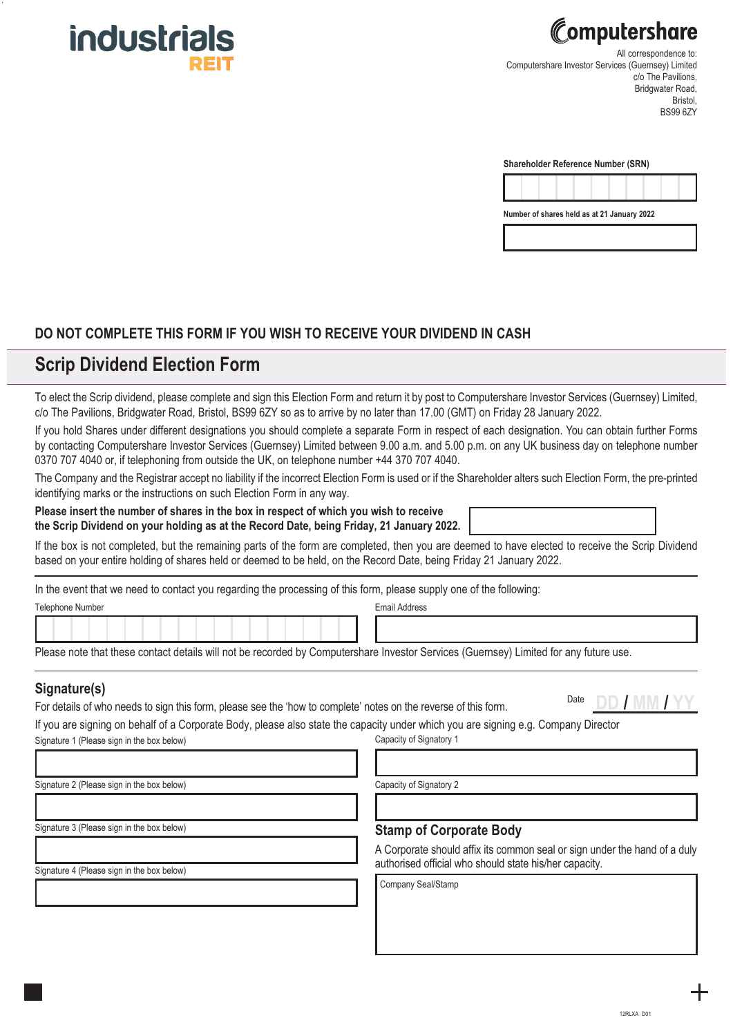



All correspondence to: Computershare Investor Services (Guernsey) Limited c/o The Pavilions. Bridgwater Road, Bristol, BS99 6ZY

| <b>Shareholder Reference Number (SRN)</b> |  |  |  |
|-------------------------------------------|--|--|--|
|-------------------------------------------|--|--|--|



#### **DO NOT COMPLETE THIS FORM IF YOU WISH TO RECEIVE YOUR DIVIDEND IN CASH**

## **Scrip Dividend Election Form**

To elect the Scrip dividend, please complete and sign this Election Form and return it by post to Computershare Investor Services (Guernsey) Limited, c/o The Pavilions, Bridgwater Road, Bristol, BS99 6ZY so as to arrive by no later than 17.00 (GMT) on Friday 28 January 2022.

If you hold Shares under different designations you should complete a separate Form in respect of each designation. You can obtain further Forms by contacting Computershare Investor Services (Guernsey) Limited between 9.00 a.m. and 5.00 p.m. on any UK business day on telephone number 0370 707 4040 or, if telephoning from outside the UK, on telephone number +44 370 707 4040.

The Company and the Registrar accept no liability if the incorrect Election Form is used or if the Shareholder alters such Election Form, the pre-printed identifying marks or the instructions on such Election Form in any way.

**Please insert the number of shares in the box in respect of which you wish to receive the Scrip Dividend on your holding as at the Record Date, being Friday, 21 January 2022.** 

If the box is not completed, but the remaining parts of the form are completed, then you are deemed to have elected to receive the Scrip Dividend based on your entire holding of shares held or deemed to be held, on the Record Date, being Friday 21 January 2022.

In the event that we need to contact you regarding the processing of this form, please supply one of the following:

Telephone Number **Email Address Email Address** 

Please note that these contact details will not be recorded by Computershare Investor Services (Guernsey) Limited for any future use.

For details of who needs to sign this form, please see the 'how to complete' notes on the reverse of this form. Date **DD / MM / YY Signature(s)**

If you are signing on behalf of a Corporate Body, please also state the capacity under which you are signing e.g. Company Director Signature 1 (Please sign in the box below) Capacity of Signatory 1

Signature 2 (Please sign in the box below)

Capacity of Signatory 2

Signature 3 (Please sign in the box below)

Signature 4 (Please sign in the box below)

#### **Stamp of Corporate Body**

A Corporate should affix its common seal or sign under the hand of a duly authorised official who should state his/her capacity.

Company Seal/Stamp